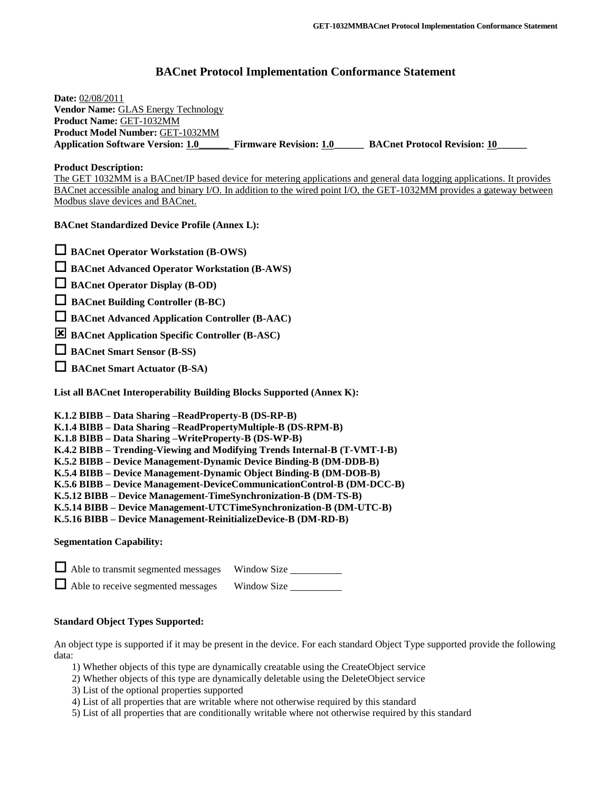# **BACnet Protocol Implementation Conformance Statement**

**Date:** 02/08/2011 **Vendor Name:** GLAS Energy Technology **Product Name:** GET-1032MM **Product Model Number:** GET-1032MM **Application Software Version: 1.0\_\_\_\_\_\_ Firmware Revision: 1.0\_\_\_\_\_\_ BACnet Protocol Revision: 10\_\_\_\_\_\_**

**Product Description:**

The GET 1032MM is a BACnet/IP based device for metering applications and general data logging applications. It provides BACnet accessible analog and binary I/O. In addition to the wired point I/O, the GET-1032MM provides a gateway between Modbus slave devices and BACnet.

**BACnet Standardized Device Profile (Annex L):**

**BACnet Operator Workstation (B-OWS)**

**BACnet Advanced Operator Workstation (B-AWS)** 

**BACnet Operator Display (B-OD)** 

**BACnet Building Controller (B-BC)**

**BACnet Advanced Application Controller (B-AAC)**

**BACnet Application Specific Controller (B-ASC)**

**BACnet Smart Sensor (B-SS)**

**BACnet Smart Actuator (B-SA)**

**List all BACnet Interoperability Building Blocks Supported (Annex K):** 

**K.1.2 BIBB – Data Sharing –ReadProperty-B (DS-RP-B)**

**K.1.4 BIBB – Data Sharing –ReadPropertyMultiple-B (DS-RPM-B)**

**K.1.8 BIBB – Data Sharing –WriteProperty-B (DS-WP-B)**

**K.4.2 BIBB – Trending-Viewing and Modifying Trends Internal-B (T-VMT-I-B)**

**K.5.2 BIBB – Device Management-Dynamic Device Binding-B (DM-DDB-B)**

**K.5.4 BIBB – Device Management-Dynamic Object Binding-B (DM-DOB-B)**

**K.5.6 BIBB – Device Management-DeviceCommunicationControl-B (DM-DCC-B)**

**K.5.12 BIBB – Device Management-TimeSynchronization-B (DM-TS-B)**

**K.5.14 BIBB – Device Management-UTCTimeSynchronization-B (DM-UTC-B)**

**K.5.16 BIBB – Device Management-ReinitializeDevice-B (DM-RD-B)**

## **Segmentation Capability:**

| $\Box$ Able to transmit segmented messages | Window Size |
|--------------------------------------------|-------------|
| $\Box$ Able to receive segmented messages  | Window Size |

## **Standard Object Types Supported:**

An object type is supported if it may be present in the device. For each standard Object Type supported provide the following data:

1) Whether objects of this type are dynamically creatable using the CreateObject service

2) Whether objects of this type are dynamically deletable using the DeleteObject service

3) List of the optional properties supported

4) List of all properties that are writable where not otherwise required by this standard

5) List of all properties that are conditionally writable where not otherwise required by this standard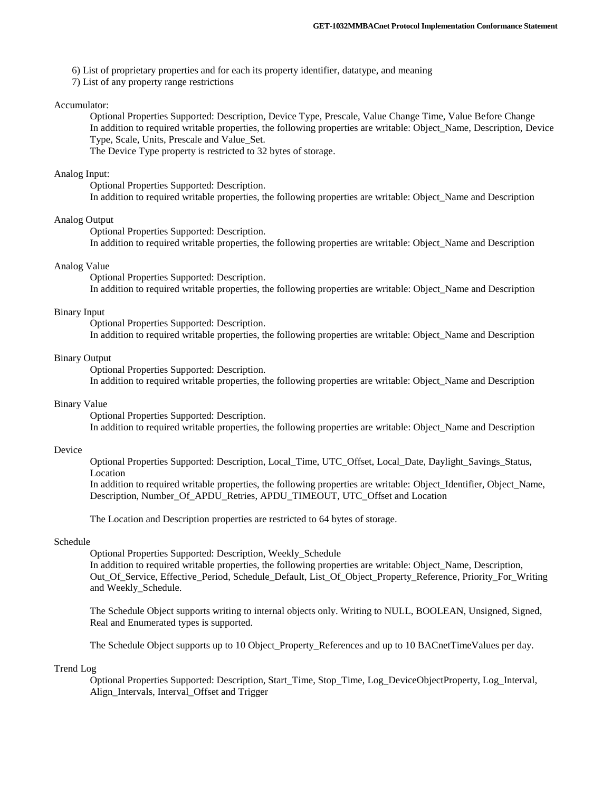6) List of proprietary properties and for each its property identifier, datatype, and meaning

7) List of any property range restrictions

#### Accumulator:

Optional Properties Supported: Description, Device Type, Prescale, Value Change Time, Value Before Change In addition to required writable properties, the following properties are writable: Object\_Name, Description, Device Type, Scale, Units, Prescale and Value\_Set.

The Device Type property is restricted to 32 bytes of storage.

#### Analog Input:

Optional Properties Supported: Description.

In addition to required writable properties, the following properties are writable: Object\_Name and Description

### Analog Output

Optional Properties Supported: Description. In addition to required writable properties, the following properties are writable: Object\_Name and Description

#### Analog Value

Optional Properties Supported: Description. In addition to required writable properties, the following properties are writable: Object\_Name and Description

#### Binary Input

Optional Properties Supported: Description. In addition to required writable properties, the following properties are writable: Object\_Name and Description

#### Binary Output

Optional Properties Supported: Description. In addition to required writable properties, the following properties are writable: Object\_Name and Description

#### Binary Value

Optional Properties Supported: Description.

In addition to required writable properties, the following properties are writable: Object\_Name and Description

### Device

Optional Properties Supported: Description, Local\_Time, UTC\_Offset, Local\_Date, Daylight\_Savings\_Status, Location

In addition to required writable properties, the following properties are writable: Object\_Identifier, Object\_Name, Description, Number\_Of\_APDU\_Retries, APDU\_TIMEOUT, UTC\_Offset and Location

The Location and Description properties are restricted to 64 bytes of storage.

#### Schedule

Optional Properties Supported: Description, Weekly\_Schedule

In addition to required writable properties, the following properties are writable: Object\_Name, Description, Out\_Of\_Service, Effective\_Period, Schedule\_Default, List\_Of\_Object\_Property\_Reference, Priority\_For\_Writing and Weekly\_Schedule.

The Schedule Object supports writing to internal objects only. Writing to NULL, BOOLEAN, Unsigned, Signed, Real and Enumerated types is supported.

The Schedule Object supports up to 10 Object Property References and up to 10 BACnetTimeValues per day.

#### Trend Log

Optional Properties Supported: Description, Start\_Time, Stop\_Time, Log\_DeviceObjectProperty, Log\_Interval, Align\_Intervals, Interval\_Offset and Trigger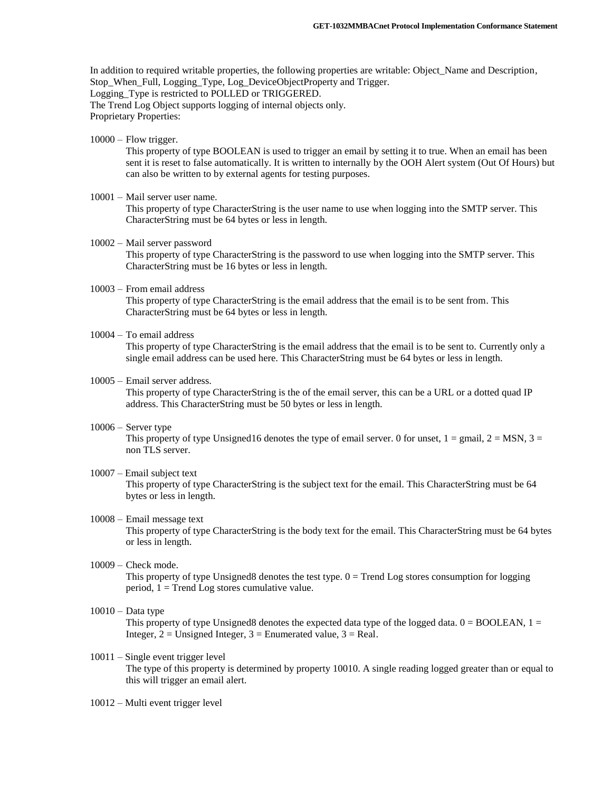In addition to required writable properties, the following properties are writable: Object\_Name and Description, Stop\_When\_Full, Logging\_Type, Log\_DeviceObjectProperty and Trigger. Logging\_Type is restricted to POLLED or TRIGGERED.

The Trend Log Object supports logging of internal objects only. Proprietary Properties:

 $10000 -$  Flow trigger.

This property of type BOOLEAN is used to trigger an email by setting it to true. When an email has been sent it is reset to false automatically. It is written to internally by the OOH Alert system (Out Of Hours) but can also be written to by external agents for testing purposes.

10001 – Mail server user name.

This property of type CharacterString is the user name to use when logging into the SMTP server. This CharacterString must be 64 bytes or less in length.

10002 – Mail server password

This property of type CharacterString is the password to use when logging into the SMTP server. This CharacterString must be 16 bytes or less in length.

### 10003 – From email address

This property of type CharacterString is the email address that the email is to be sent from. This CharacterString must be 64 bytes or less in length.

10004 – To email address

This property of type CharacterString is the email address that the email is to be sent to. Currently only a single email address can be used here. This CharacterString must be 64 bytes or less in length.

10005 – Email server address.

This property of type CharacterString is the of the email server, this can be a URL or a dotted quad IP address. This CharacterString must be 50 bytes or less in length.

 $10006 -$  Server type

This property of type Unsigned16 denotes the type of email server. 0 for unset,  $1 = \text{gmail}, 2 = \text{MSN}, 3 =$ non TLS server.

10007 – Email subject text

This property of type CharacterString is the subject text for the email. This CharacterString must be 64 bytes or less in length.

### 10008 – Email message text

This property of type CharacterString is the body text for the email. This CharacterString must be 64 bytes or less in length.

10009 – Check mode. This property of type Unsigned8 denotes the test type.  $0 =$  Trend Log stores consumption for logging

period,  $1 =$  Trend Log stores cumulative value.

### 10010 – Data type

This property of type Unsigned8 denotes the expected data type of the logged data.  $0 = BOOLEAN$ ,  $1 =$ Integer,  $2 =$  Unsigned Integer,  $3 =$  Enumerated value,  $3 =$  Real.

- 10011 Single event trigger level The type of this property is determined by property 10010. A single reading logged greater than or equal to this will trigger an email alert.
- 10012 Multi event trigger level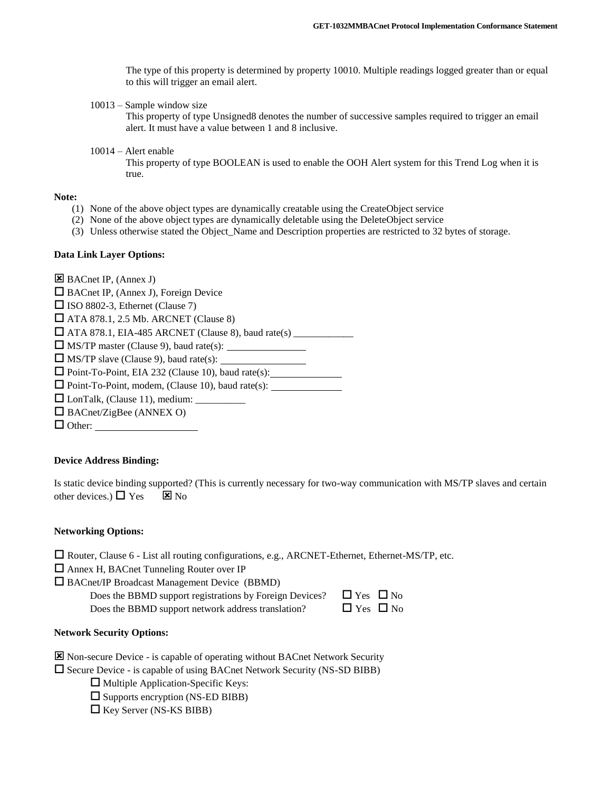The type of this property is determined by property 10010. Multiple readings logged greater than or equal to this will trigger an email alert.

10013 – Sample window size

This property of type Unsigned8 denotes the number of successive samples required to trigger an email alert. It must have a value between 1 and 8 inclusive.

10014 – Alert enable This property of type BOOLEAN is used to enable the OOH Alert system for this Trend Log when it is true.

#### **Note:**

- (1) None of the above object types are dynamically creatable using the CreateObject service
- (2) None of the above object types are dynamically deletable using the DeleteObject service
- (3) Unless otherwise stated the Object\_Name and Description properties are restricted to 32 bytes of storage.

### **Data Link Layer Options:**

| $\boxtimes$ BACnet IP, (Annex J) |  |
|----------------------------------|--|
|----------------------------------|--|

□ BACnet IP, (Annex J), Foreign Device

 $\Box$  ISO 8802-3, Ethernet (Clause 7)

 $\Box$  ATA 878.1, 2.5 Mb. ARCNET (Clause 8)

ATA 878.1, EIA-485 ARCNET (Clause 8), baud rate(s) \_\_\_\_\_\_\_\_\_\_\_\_

□ MS/TP master (Clause 9), baud rate(s):

MS/TP slave (Clause 9), baud rate(s):

 $\Box$  Point-To-Point, EIA 232 (Clause 10), baud rate(s):

□ Point-To-Point, modem, (Clause 10), baud rate(s): \_\_\_\_\_\_\_\_\_\_\_\_\_\_\_\_\_\_\_\_\_\_\_\_\_\_\_\_

LonTalk, (Clause 11), medium: \_\_\_\_\_\_\_\_\_\_

 $\Box$  BACnet/ZigBee (ANNEX O)

 $\Box$  Other:

## **Device Address Binding:**

Is static device binding supported? (This is currently necessary for two-way communication with MS/TP slaves and certain other devices.)  $\Box$  Yes  $\Box$  No

### **Networking Options:**

Router, Clause 6 - List all routing configurations, e.g., ARCNET-Ethernet, Ethernet-MS/TP, etc.

Annex H, BACnet Tunneling Router over IP

□ BACnet/IP Broadcast Management Device (BBMD)

Does the BBMD support registrations by Foreign Devices?  $\Box$  Yes  $\Box$  No<br>Does the BBMD support network address translation?  $\Box$  Yes  $\Box$  No Does the BBMD support network address translation?

| y es | No ו                      |
|------|---------------------------|
| Voc  | $\mathbf{M}_{\mathbf{C}}$ |

### **Network Security Options:**

Non-secure Device - is capable of operating without BACnet Network Security

 $\square$  Secure Device - is capable of using BACnet Network Security (NS-SD BIBB)

 $\Box$  Multiple Application-Specific Keys:

 $\square$  Supports encryption (NS-ED BIBB)

 $\Box$  Key Server (NS-KS BIBB)